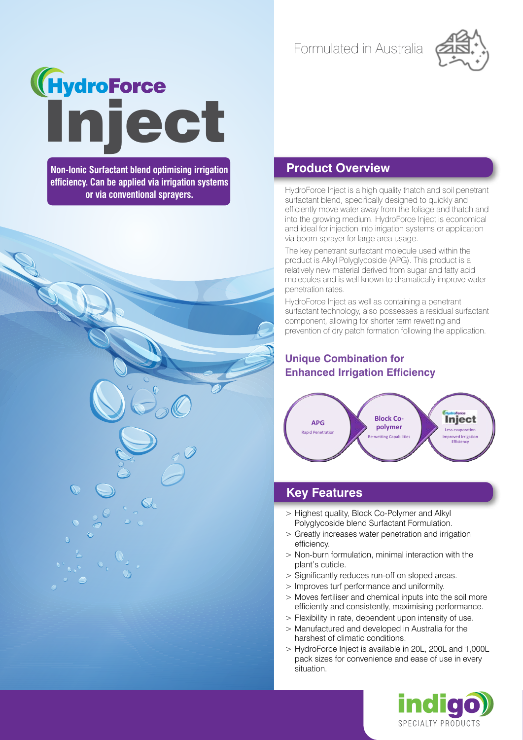Formulated in Australia



# **Inject**

**Non-Ionic Surfactant blend optimising irrigation efficiency. Can be applied via irrigation systems or via conventional sprayers.**

### **Product Overview**

HydroForce Inject is a high quality thatch and soil penetrant surfactant blend, specifically designed to quickly and efficiently move water away from the foliage and thatch and into the growing medium. HydroForce Inject is economical and ideal for injection into irrigation systems or application via boom sprayer for large area usage.

The key penetrant surfactant molecule used within the product is Alkyl Polyglycoside (APG). This product is a relatively new material derived from sugar and fatty acid molecules and is well known to dramatically improve water penetration rates.

HydroForce Inject as well as containing a penetrant surfactant technology, also possesses a residual surfactant component, allowing for shorter term rewetting and prevention of dry patch formation following the application.

# **Unique Combination for Enhanced Irrigation Efficiency**



## **Key Features**

- > Highest quality, Block Co-Polymer and Alkyl Polyglycoside blend Surfactant Formulation.
- > Greatly increases water penetration and irrigation efficiency.
- > Non-burn formulation, minimal interaction with the plant's cuticle.
- > Significantly reduces run-off on sloped areas.
- > Improves turf performance and uniformity.
- > Moves fertiliser and chemical inputs into the soil more efficiently and consistently, maximising performance.
- > Flexibility in rate, dependent upon intensity of use.
- > Manufactured and developed in Australia for the harshest of climatic conditions.
- > HydroForce Inject is available in 20L, 200L and 1,000L pack sizes for convenience and ease of use in every situation.